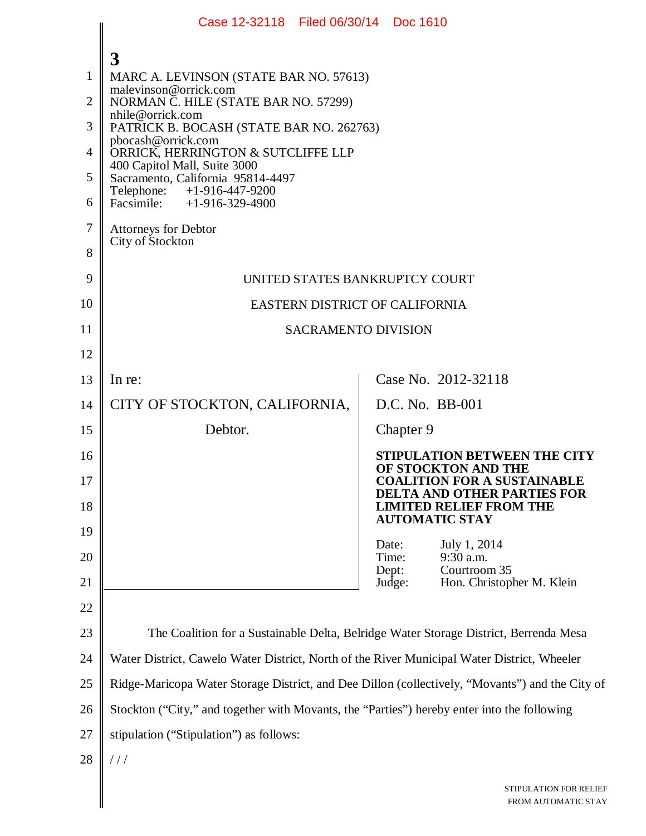|                | Case 12-32118 Filed 06/30/14 Doc 1610                                                           |                                                                                        |  |
|----------------|-------------------------------------------------------------------------------------------------|----------------------------------------------------------------------------------------|--|
|                | 3                                                                                               |                                                                                        |  |
| 1              | MARC A. LEVINSON (STATE BAR NO. 57613)                                                          |                                                                                        |  |
| $\overline{2}$ | malevinson@orrick.com<br>NORMAN C. HILE (STATE BAR NO. 57299)                                   |                                                                                        |  |
| 3              | nhile@orrick.com<br>PATRICK B. BOCASH (STATE BAR NO. 262763)                                    |                                                                                        |  |
| 4              | pbocash@orrick.com<br>ORRICK, HERRINGTON & SUTCLIFFE LLP                                        |                                                                                        |  |
| 5              | 400 Capitol Mall, Suite 3000<br>Sacramento, California 95814-4497                               |                                                                                        |  |
| 6              | Telephone: +1-916-447-9200<br>Facsimile: +1-916-329-4900                                        |                                                                                        |  |
| 7              | Attorneys for Debtor                                                                            |                                                                                        |  |
| 8              | City of Stockton                                                                                |                                                                                        |  |
| 9              | UNITED STATES BANKRUPTCY COURT                                                                  |                                                                                        |  |
| 10             | EASTERN DISTRICT OF CALIFORNIA                                                                  |                                                                                        |  |
| 11             | <b>SACRAMENTO DIVISION</b>                                                                      |                                                                                        |  |
| 12             |                                                                                                 |                                                                                        |  |
| 13             | In re:                                                                                          | Case No. 2012-32118                                                                    |  |
| 14             | CITY OF STOCKTON, CALIFORNIA,                                                                   | D.C. No. BB-001                                                                        |  |
| 15             | Debtor.                                                                                         | Chapter 9                                                                              |  |
| 16             |                                                                                                 | <b>STIPULATION BETWEEN THE CITY</b>                                                    |  |
| 17             |                                                                                                 | OF STOCKTON AND THE<br><b>COALITION FOR A SUSTAINABLE</b>                              |  |
| 18             |                                                                                                 | DELTA AND OTHER PARTIES FOR<br><b>LIMITED RELIEF FROM THE</b><br><b>AUTOMATIC STAY</b> |  |
| 19             |                                                                                                 | Date:<br>July 1, 2014                                                                  |  |
| 20             |                                                                                                 | 9:30 a.m.<br>Time:<br>Courtroom 35<br>Dept:                                            |  |
| 21             |                                                                                                 | Judge:<br>Hon. Christopher M. Klein                                                    |  |
| 22             |                                                                                                 |                                                                                        |  |
| 23             |                                                                                                 | The Coalition for a Sustainable Delta, Belridge Water Storage District, Berrenda Mesa  |  |
| 24             | Water District, Cawelo Water District, North of the River Municipal Water District, Wheeler     |                                                                                        |  |
| 25             | Ridge-Maricopa Water Storage District, and Dee Dillon (collectively, "Movants") and the City of |                                                                                        |  |
| 26             | Stockton ("City," and together with Movants, the "Parties") hereby enter into the following     |                                                                                        |  |
| 27             | stipulation ("Stipulation") as follows:                                                         |                                                                                        |  |
| 28             | //                                                                                              |                                                                                        |  |
|                |                                                                                                 | STIPULATION FOR RELIEF<br>FROM AUTOMATIC STAY                                          |  |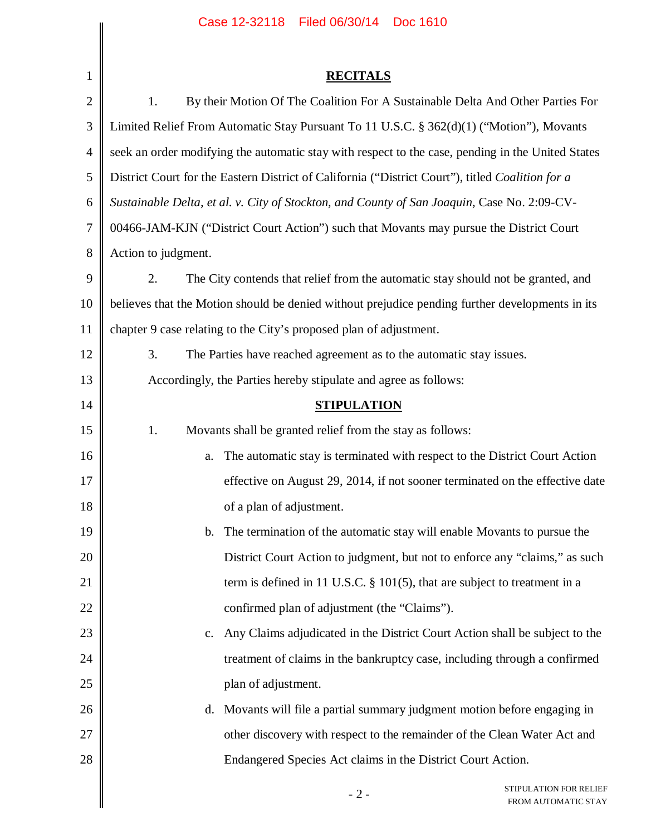|                | Case 12-32118   Filed 06/30/14   Doc 1610                                                         |  |
|----------------|---------------------------------------------------------------------------------------------------|--|
| 1              | <b>RECITALS</b>                                                                                   |  |
| $\mathbf{2}$   | 1.<br>By their Motion Of The Coalition For A Sustainable Delta And Other Parties For              |  |
| $\mathfrak{Z}$ | Limited Relief From Automatic Stay Pursuant To 11 U.S.C. § 362(d)(1) ("Motion"), Movants          |  |
| $\overline{4}$ | seek an order modifying the automatic stay with respect to the case, pending in the United States |  |
| 5              | District Court for the Eastern District of California ("District Court"), titled Coalition for a  |  |
| 6              | Sustainable Delta, et al. v. City of Stockton, and County of San Joaquin, Case No. 2:09-CV-       |  |
| 7              | 00466-JAM-KJN ("District Court Action") such that Movants may pursue the District Court           |  |
| 8              | Action to judgment.                                                                               |  |
| 9              | 2.<br>The City contends that relief from the automatic stay should not be granted, and            |  |
| 10             | believes that the Motion should be denied without prejudice pending further developments in its   |  |
| 11             | chapter 9 case relating to the City's proposed plan of adjustment.                                |  |
| 12             | 3.<br>The Parties have reached agreement as to the automatic stay issues.                         |  |
| 13             | Accordingly, the Parties hereby stipulate and agree as follows:                                   |  |
| 14             | <b>STIPULATION</b>                                                                                |  |
| 15             | 1.<br>Movants shall be granted relief from the stay as follows:                                   |  |
| 16             | The automatic stay is terminated with respect to the District Court Action<br>a.                  |  |
| 17             | effective on August 29, 2014, if not sooner terminated on the effective date                      |  |
| 18             | of a plan of adjustment.                                                                          |  |
| 19             | The termination of the automatic stay will enable Movants to pursue the<br>$\mathbf{b}$ .         |  |
| 20             | District Court Action to judgment, but not to enforce any "claims," as such                       |  |
| 21             | term is defined in 11 U.S.C. $\S$ 101(5), that are subject to treatment in a                      |  |
| 22             | confirmed plan of adjustment (the "Claims").                                                      |  |
| 23             | Any Claims adjudicated in the District Court Action shall be subject to the<br>$c_{\cdot}$        |  |
| 24             | treatment of claims in the bankruptcy case, including through a confirmed                         |  |
| 25             | plan of adjustment.                                                                               |  |
| 26             | d. Movants will file a partial summary judgment motion before engaging in                         |  |
| 27             | other discovery with respect to the remainder of the Clean Water Act and                          |  |
| 28             | Endangered Species Act claims in the District Court Action.                                       |  |
|                | STIPULATION FOR RELIEF<br>$-2-$<br>FROM AUTOMATIC STAY                                            |  |